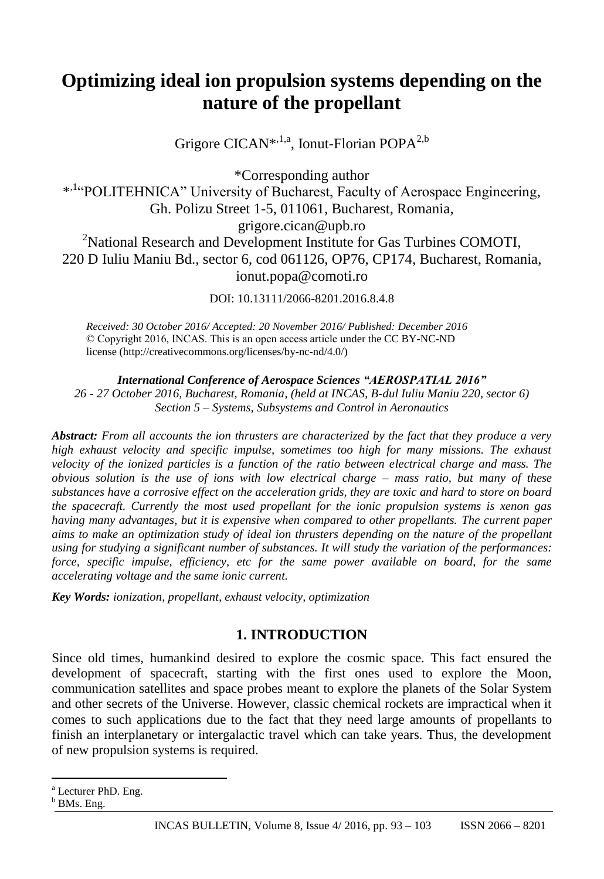# **Optimizing ideal ion propulsion systems depending on the nature of the propellant**

Grigore CICAN<sup>\*,1,a</sup>, Ionut-Florian POPA<sup>2,b</sup>

\*Corresponding author \*<sup>1.</sup>"POLITEHNICA" University of Bucharest, Faculty of Aerospace Engineering, Gh. Polizu Street 1-5, 011061, Bucharest, Romania, grigore.cican@upb.ro <sup>2</sup>National Research and Development Institute for Gas Turbines COMOTI, 220 D Iuliu Maniu Bd., sector 6, cod 061126, OP76, CP174, Bucharest, Romania, ionut.popa@comoti.ro

DOI: 10.13111/2066-8201.2016.8.4.8

*Received: 30 October 2016/ Accepted: 20 November 2016/ Published: December 2016* © Copyright 2016, INCAS. This is an open access article under the CC BY-NC-ND license (http://creativecommons.org/licenses/by-nc-nd/4.0/)

*International Conference of Aerospace Sciences "AEROSPATIAL 2016" 26 - 27 October 2016, Bucharest, Romania, (held at INCAS, B-dul Iuliu Maniu 220, sector 6) Section 5 – Systems, Subsystems and Control in Aeronautics*

*Abstract: From all accounts the ion thrusters are characterized by the fact that they produce a very high exhaust velocity and specific impulse, sometimes too high for many missions. The exhaust velocity of the ionized particles is a function of the ratio between electrical charge and mass. The obvious solution is the use of ions with low electrical charge – mass ratio, but many of these substances have a corrosive effect on the acceleration grids, they are toxic and hard to store on board the spacecraft. Currently the most used propellant for the ionic propulsion systems is xenon gas having many advantages, but it is expensive when compared to other propellants. The current paper aims to make an optimization study of ideal ion thrusters depending on the nature of the propellant using for studying a significant number of substances. It will study the variation of the performances: force, specific impulse, efficiency, etc for the same power available on board, for the same accelerating voltage and the same ionic current.*

*Key Words: ionization, propellant, exhaust velocity, optimization*

# **1. INTRODUCTION**

Since old times, humankind desired to explore the cosmic space. This fact ensured the development of spacecraft, starting with the first ones used to explore the Moon, communication satellites and space probes meant to explore the planets of the Solar System and other secrets of the Universe. However, classic chemical rockets are impractical when it comes to such applications due to the fact that they need large amounts of propellants to finish an interplanetary or intergalactic travel which can take years. Thus, the development of new propulsion systems is required.

 $\overline{a}$ 

<sup>a</sup> Lecturer PhD. Eng.

<sup>&</sup>lt;sup>b</sup> BMs. Eng.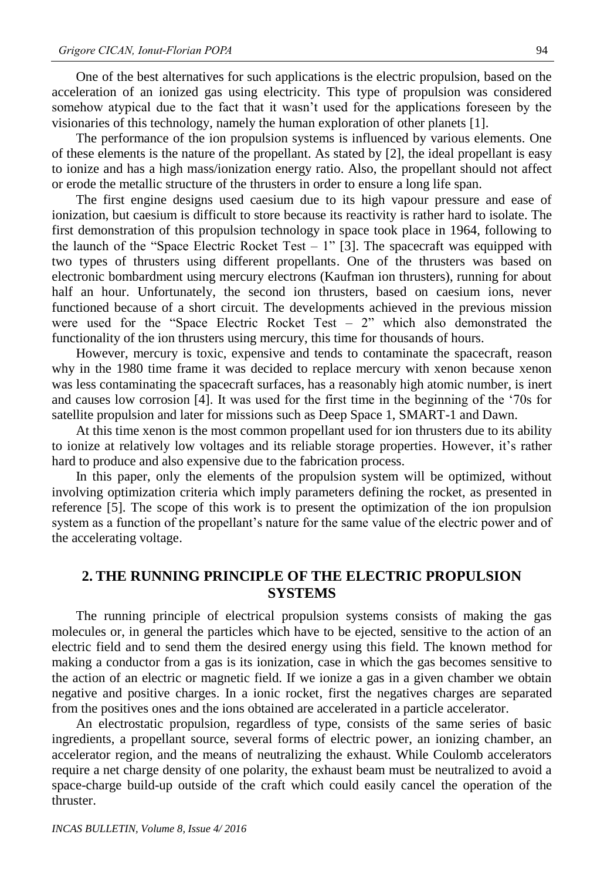One of the best alternatives for such applications is the electric propulsion, based on the acceleration of an ionized gas using electricity. This type of propulsion was considered somehow atypical due to the fact that it wasn't used for the applications foreseen by the visionaries of this technology, namely the human exploration of other planets [1].

The performance of the ion propulsion systems is influenced by various elements. One of these elements is the nature of the propellant. As stated by [2], the ideal propellant is easy to ionize and has a high mass/ionization energy ratio. Also, the propellant should not affect or erode the metallic structure of the thrusters in order to ensure a long life span.

The first engine designs used caesium due to its high vapour pressure and ease of ionization, but caesium is difficult to store because its reactivity is rather hard to isolate. The first demonstration of this propulsion technology in space took place in 1964, following to the launch of the "Space Electric Rocket Test  $-1$ " [3]. The spacecraft was equipped with two types of thrusters using different propellants. One of the thrusters was based on electronic bombardment using mercury electrons (Kaufman ion thrusters), running for about half an hour. Unfortunately, the second ion thrusters, based on caesium ions, never functioned because of a short circuit. The developments achieved in the previous mission were used for the "Space Electric Rocket Test  $-2$ " which also demonstrated the functionality of the ion thrusters using mercury, this time for thousands of hours.

However, mercury is toxic, expensive and tends to contaminate the spacecraft, reason why in the 1980 time frame it was decided to replace mercury with xenon because xenon was less contaminating the spacecraft surfaces, has a reasonably high atomic number, is inert and causes low corrosion [4]. It was used for the first time in the beginning of the '70s for satellite propulsion and later for missions such as Deep Space 1, SMART-1 and Dawn.

At this time xenon is the most common propellant used for ion thrusters due to its ability to ionize at relatively low voltages and its reliable storage properties. However, it's rather hard to produce and also expensive due to the fabrication process.

In this paper, only the elements of the propulsion system will be optimized, without involving optimization criteria which imply parameters defining the rocket, as presented in reference [5]. The scope of this work is to present the optimization of the ion propulsion system as a function of the propellant's nature for the same value of the electric power and of the accelerating voltage.

# **2. THE RUNNING PRINCIPLE OF THE ELECTRIC PROPULSION SYSTEMS**

The running principle of electrical propulsion systems consists of making the gas molecules or, in general the particles which have to be ejected, sensitive to the action of an electric field and to send them the desired energy using this field. The known method for making a conductor from a gas is its ionization, case in which the gas becomes sensitive to the action of an electric or magnetic field. If we ionize a gas in a given chamber we obtain negative and positive charges. In a ionic rocket, first the negatives charges are separated from the positives ones and the ions obtained are accelerated in a particle accelerator.

An electrostatic propulsion, regardless of type, consists of the same series of basic ingredients, a propellant source, several forms of electric power, an ionizing chamber, an accelerator region, and the means of neutralizing the exhaust. While Coulomb accelerators require a net charge density of one polarity, the exhaust beam must be neutralized to avoid a space-charge build-up outside of the craft which could easily cancel the operation of the thruster.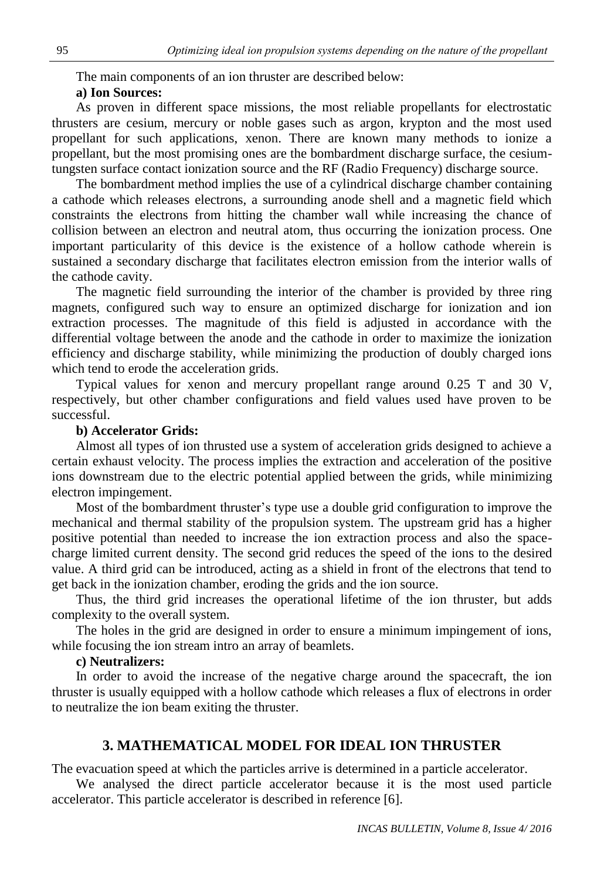The main components of an ion thruster are described below:

## **a) Ion Sources:**

As proven in different space missions, the most reliable propellants for electrostatic thrusters are cesium, mercury or noble gases such as argon, krypton and the most used propellant for such applications, xenon. There are known many methods to ionize a propellant, but the most promising ones are the bombardment discharge surface, the cesiumtungsten surface contact ionization source and the RF (Radio Frequency) discharge source.

The bombardment method implies the use of a cylindrical discharge chamber containing a cathode which releases electrons, a surrounding anode shell and a magnetic field which constraints the electrons from hitting the chamber wall while increasing the chance of collision between an electron and neutral atom, thus occurring the ionization process. One important particularity of this device is the existence of a hollow cathode wherein is sustained a secondary discharge that facilitates electron emission from the interior walls of the cathode cavity.

The magnetic field surrounding the interior of the chamber is provided by three ring magnets, configured such way to ensure an optimized discharge for ionization and ion extraction processes. The magnitude of this field is adjusted in accordance with the differential voltage between the anode and the cathode in order to maximize the ionization efficiency and discharge stability, while minimizing the production of doubly charged ions which tend to erode the acceleration grids.

Typical values for xenon and mercury propellant range around 0.25 T and 30 V, respectively, but other chamber configurations and field values used have proven to be successful.

#### **b) Accelerator Grids:**

Almost all types of ion thrusted use a system of acceleration grids designed to achieve a certain exhaust velocity. The process implies the extraction and acceleration of the positive ions downstream due to the electric potential applied between the grids, while minimizing electron impingement.

Most of the bombardment thruster's type use a double grid configuration to improve the mechanical and thermal stability of the propulsion system. The upstream grid has a higher positive potential than needed to increase the ion extraction process and also the spacecharge limited current density. The second grid reduces the speed of the ions to the desired value. A third grid can be introduced, acting as a shield in front of the electrons that tend to get back in the ionization chamber, eroding the grids and the ion source.

Thus, the third grid increases the operational lifetime of the ion thruster, but adds complexity to the overall system.

The holes in the grid are designed in order to ensure a minimum impingement of ions, while focusing the ion stream intro an array of beamlets.

## **c) Neutralizers:**

In order to avoid the increase of the negative charge around the spacecraft, the ion thruster is usually equipped with a hollow cathode which releases a flux of electrons in order to neutralize the ion beam exiting the thruster.

### **3. MATHEMATICAL MODEL FOR IDEAL ION THRUSTER**

The evacuation speed at which the particles arrive is determined in a particle accelerator.

We analysed the direct particle accelerator because it is the most used particle accelerator. This particle accelerator is described in reference [6].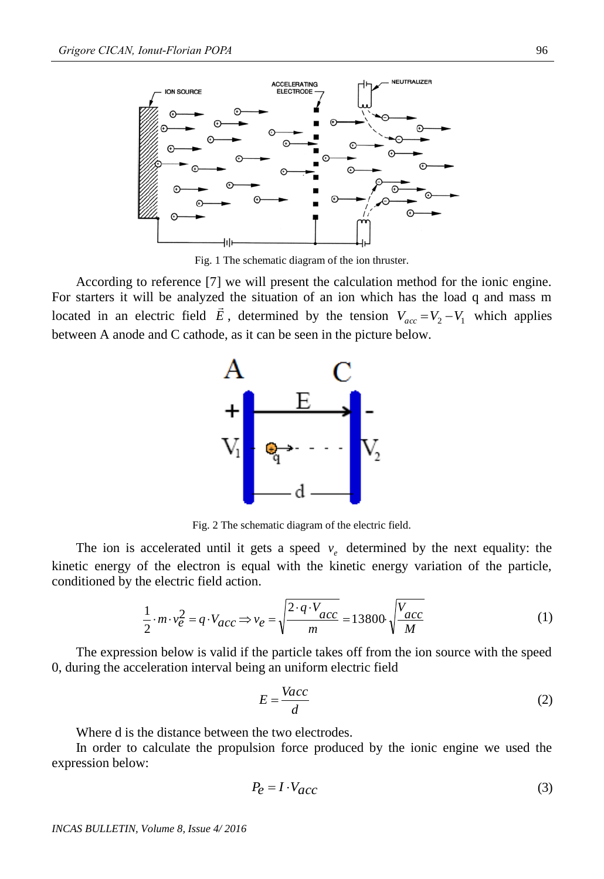

Fig. 1 The schematic diagram of the ion thruster.

According to reference [7] we will present the calculation method for the ionic engine. For starters it will be analyzed the situation of an ion which has the load q and mass m located in an electric field  $\vec{E}$ , determined by the tension  $V_{acc} = V_2 - V_1$  which applies between A anode and C cathode, as it can be seen in the picture below.



Fig. 2 The schematic diagram of the electric field.

The ion is accelerated until it gets a speed  $v_e$  determined by the next equality: the kinetic energy of the electron is equal with the kinetic energy variation of the particle, conditioned by the electric field action.

$$
\frac{1}{2} \cdot m \cdot v_e^2 = q \cdot V_{acc} \Rightarrow v_e = \sqrt{\frac{2 \cdot q \cdot V_{acc}}{m}} = 13800 \cdot \sqrt{\frac{V_{acc}}{M}}
$$
(1)

The expression below is valid if the particle takes off from the ion source with the speed 0, during the acceleration interval being an uniform electric field

$$
E = \frac{Vacc}{d}
$$
 (2)

Where d is the distance between the two electrodes.

In order to calculate the propulsion force produced by the ionic engine we used the expression below:

$$
P_e = I \cdot V_{acc} \tag{3}
$$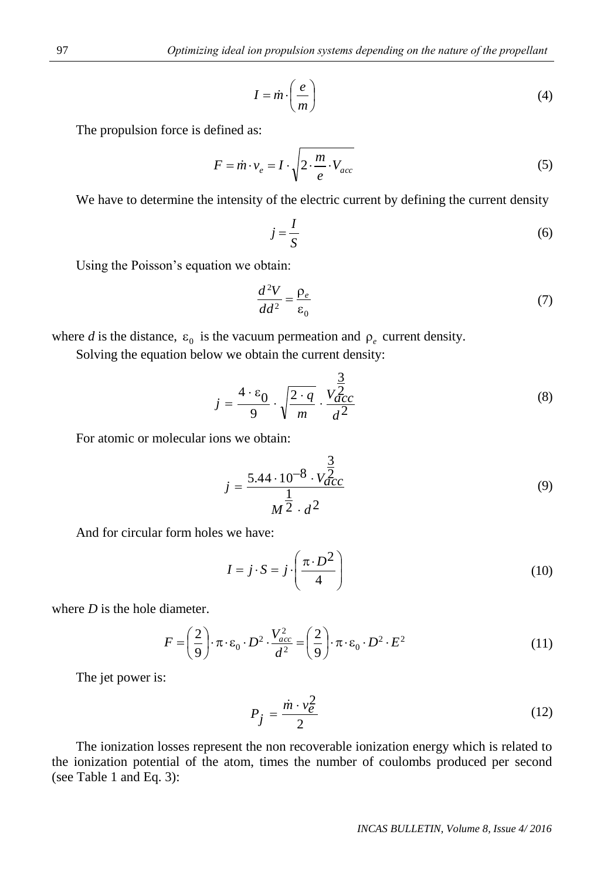$$
I = \dot{m} \cdot \left(\frac{e}{m}\right) \tag{4}
$$

The propulsion force is defined as:

$$
F = \dot{m} \cdot v_e = I \cdot \sqrt{2 \cdot \frac{m}{e} \cdot V_{acc}}
$$
 (5)

We have to determine the intensity of the electric current by defining the current density

$$
j = \frac{I}{S} \tag{6}
$$

Using the Poisson's equation we obtain:

$$
\frac{d^2V}{dd^2} = \frac{\rho_e}{\epsilon_0} \tag{7}
$$

where *d* is the distance,  $\varepsilon_0$  is the vacuum permeation and  $\rho_e$  current density.

Solving the equation below we obtain the current density:

$$
j = \frac{4 \cdot \varepsilon_0}{9} \cdot \sqrt{\frac{2 \cdot q}{m}} \cdot \frac{V_{acc}^{\frac{3}{2}}}{d^2}
$$
 (8)

For atomic or molecular ions we obtain:

$$
I = \dot{m} \cdot \left(\frac{v}{m}\right)
$$
\nand as:

\n
$$
= \dot{m} \cdot v_e = I \cdot \sqrt{2 \cdot \frac{m}{e} \cdot V_{acc}}
$$
\nItensity of the electric current by defining the current density

\n
$$
j = \frac{I}{S}
$$
\nin we obtain:

\n
$$
\frac{d^2V}{dd^2} = \frac{\rho_e}{\epsilon_0}
$$
\ne vacuum permeation and  $\rho_e$  current density.

\nwe obtain the current density:

\n
$$
= \frac{4 \cdot \epsilon_0}{9} \cdot \sqrt{\frac{2 \cdot q}{m}} \cdot \frac{\frac{3}{2}}{d^2}
$$
\nis we obtain:

\n
$$
j = \frac{5.44 \cdot 10^{-8} \cdot V_{acc}^{\frac{3}{2}}}{M^2 \cdot d^2}
$$
\nwe have:

\n
$$
I = j \cdot S = j \cdot \left(\frac{\pi \cdot D^2}{4}\right)
$$
\ni.e.,  $D^2 \cdot \frac{V_{acc}^2}{d^2} = \left(\frac{2}{9}\right) \cdot \pi \cdot \epsilon_0 \cdot D^2 \cdot E^2$ 

\ni.e.,  $D^2 \cdot \frac{V_{acc}^2}{d^2} = \left(\frac{2}{9}\right) \cdot \pi \cdot \epsilon_0 \cdot D^2 \cdot E^2$ 

\ni.e.,  $D^2 \cdot \frac{V_{acc}^2}{d^2} = \left(\frac{2}{9}\right) \cdot \pi \cdot \epsilon_0 \cdot D^2 \cdot E^2$ 

\ni.e.,  $V_{acc} = 0.2 \cdot \frac{V_{acc}^2}{d^2}$ 

\nii,  $V_{acc} = 0.2 \cdot \frac{V_{acc}^2}{d^2}$ 

\niii,  $V_{acc} = 0.2 \cdot \frac{V_{acc}^2}{d^2}$ 

\nivectors *BULLETIN, Volume 8, Issue 4/2016*

And for circular form holes we have:

$$
I = j \cdot S = j \cdot \left(\frac{\pi \cdot D^2}{4}\right)
$$
 (10)

where *D* is the hole diameter.

$$
F = \left(\frac{2}{9}\right) \cdot \pi \cdot \varepsilon_0 \cdot D^2 \cdot \frac{V_{acc}^2}{d^2} = \left(\frac{2}{9}\right) \cdot \pi \cdot \varepsilon_0 \cdot D^2 \cdot E^2 \tag{11}
$$

The jet power is:

$$
P_j = \frac{\dot{m} \cdot v_e^2}{2} \tag{12}
$$

The ionization losses represent the non recoverable ionization energy which is related to the ionization potential of the atom, times the number of coulombs produced per second (see Table 1 and Eq. 3):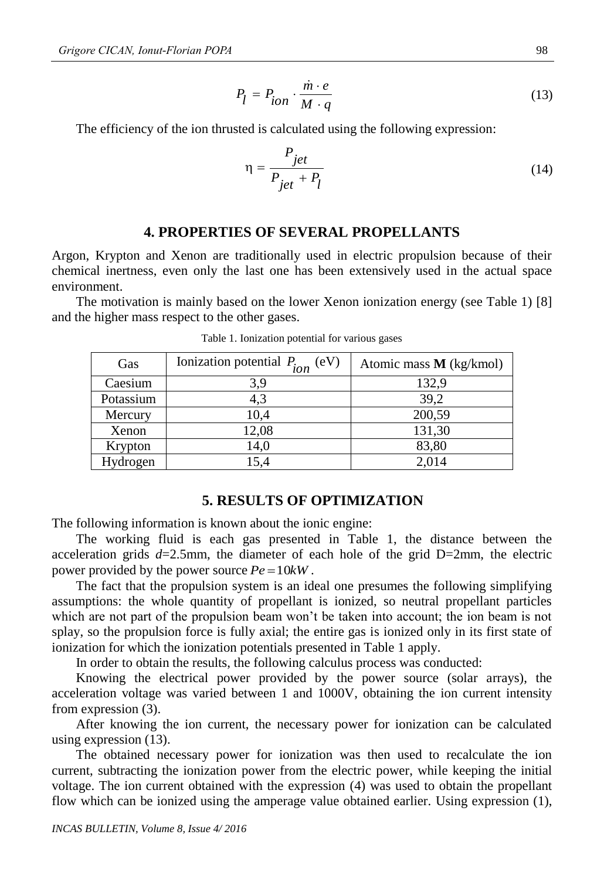$$
P_l = P_{ion} \cdot \frac{\dot{m} \cdot e}{M \cdot q} \tag{13}
$$

The efficiency of the ion thrusted is calculated using the following expression:

$$
\eta = \frac{P_{jet}}{P_{jet} + P_l} \tag{14}
$$

#### **4. PROPERTIES OF SEVERAL PROPELLANTS**

Argon, Krypton and Xenon are traditionally used in electric propulsion because of their chemical inertness, even only the last one has been extensively used in the actual space environment.

The motivation is mainly based on the lower Xenon ionization energy (see Table 1) [8] and the higher mass respect to the other gases.

| Gas       | Ionization potential $P_{ion}$ (<br>(eV) | Atomic mass $M$ (kg/kmol) |
|-----------|------------------------------------------|---------------------------|
| Caesium   | 3,9                                      | 132,9                     |
| Potassium | 4,3                                      | 39,2                      |
| Mercury   | 10,4                                     | 200,59                    |
| Xenon     | 12,08                                    | 131,30                    |
| Krypton   | 14,0                                     | 83,80                     |
| Hydrogen  | 15,4                                     | 2,014                     |

Table 1. Ionization potential for various gases

#### **5. RESULTS OF OPTIMIZATION**

The following information is known about the ionic engine:

The working fluid is each gas presented in Table 1, the distance between the acceleration grids  $d=2.5$ mm, the diameter of each hole of the grid D=2mm, the electric power provided by the power source  $Pe = 10kW$ .

The fact that the propulsion system is an ideal one presumes the following simplifying assumptions: the whole quantity of propellant is ionized, so neutral propellant particles which are not part of the propulsion beam won't be taken into account; the ion beam is not splay, so the propulsion force is fully axial; the entire gas is ionized only in its first state of ionization for which the ionization potentials presented in Table 1 apply.

In order to obtain the results, the following calculus process was conducted:

Knowing the electrical power provided by the power source (solar arrays), the acceleration voltage was varied between 1 and 1000V, obtaining the ion current intensity from expression (3).

After knowing the ion current, the necessary power for ionization can be calculated using expression (13).

The obtained necessary power for ionization was then used to recalculate the ion current, subtracting the ionization power from the electric power, while keeping the initial voltage. The ion current obtained with the expression (4) was used to obtain the propellant flow which can be ionized using the amperage value obtained earlier. Using expression (1),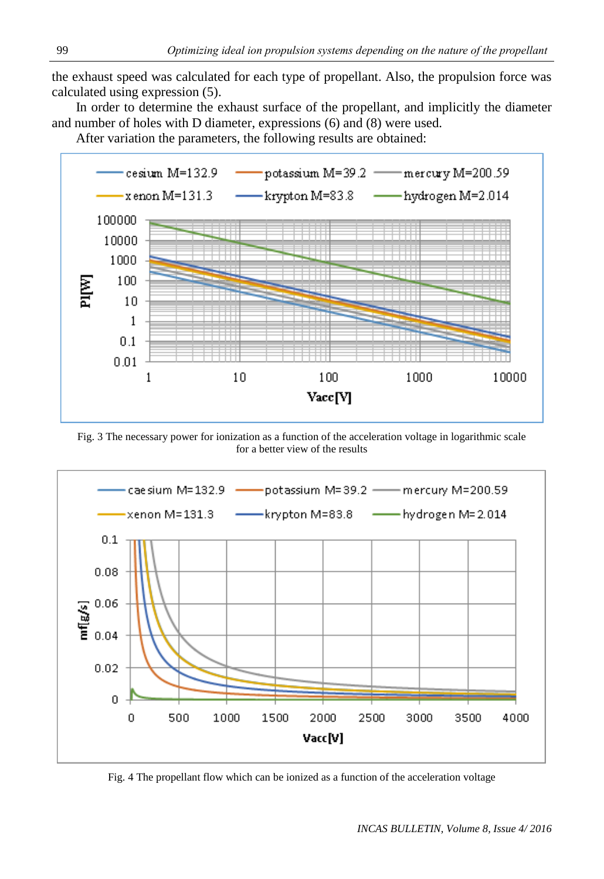the exhaust speed was calculated for each type of propellant. Also, the propulsion force was calculated using expression (5).

In order to determine the exhaust surface of the propellant, and implicitly the diameter and number of holes with D diameter, expressions (6) and (8) were used.

After variation the parameters, the following results are obtained:



Fig. 3 The necessary power for ionization as a function of the acceleration voltage in logarithmic scale for a better view of the results



Fig. 4 The propellant flow which can be ionized as a function of the acceleration voltage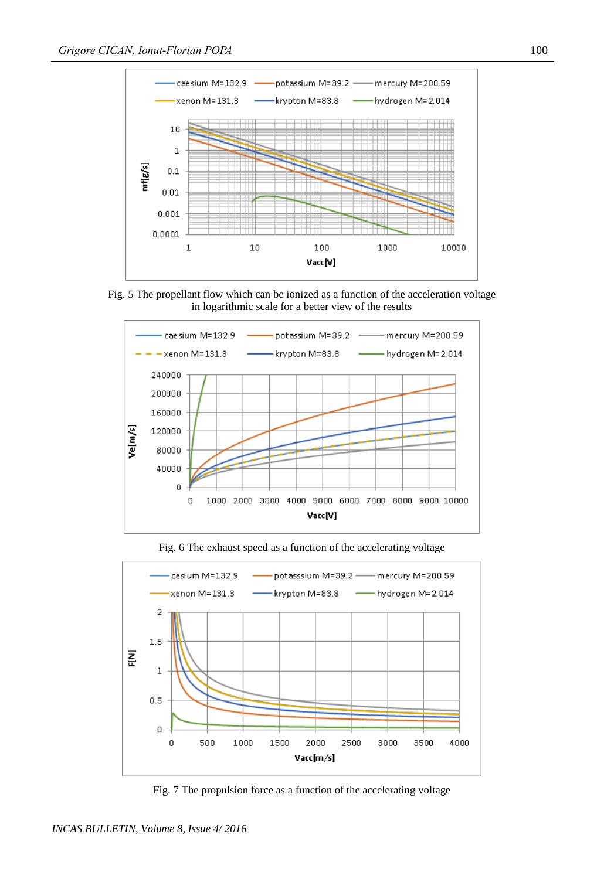

Fig. 5 The propellant flow which can be ionized as a function of the acceleration voltage in logarithmic scale for a better view of the results



cesium M=132.9 potasssium M=39.2 mercury M=200.59 hydrogen M= 2.014 xenon M=131.3 krypton M=83.8  $\bar{z}$  $1.5\,$ 홑  $\mathbf 1$  $0.5$  $\boldsymbol{0}$ 1500 0 500 1000 2000 2500 3000 3500 4000

Fig. 6 The exhaust speed as a function of the accelerating voltage

Fig. 7 The propulsion force as a function of the accelerating voltage

Vacc[m/s]

*INCAS BULLETIN, Volume 8, Issue 4/ 2016*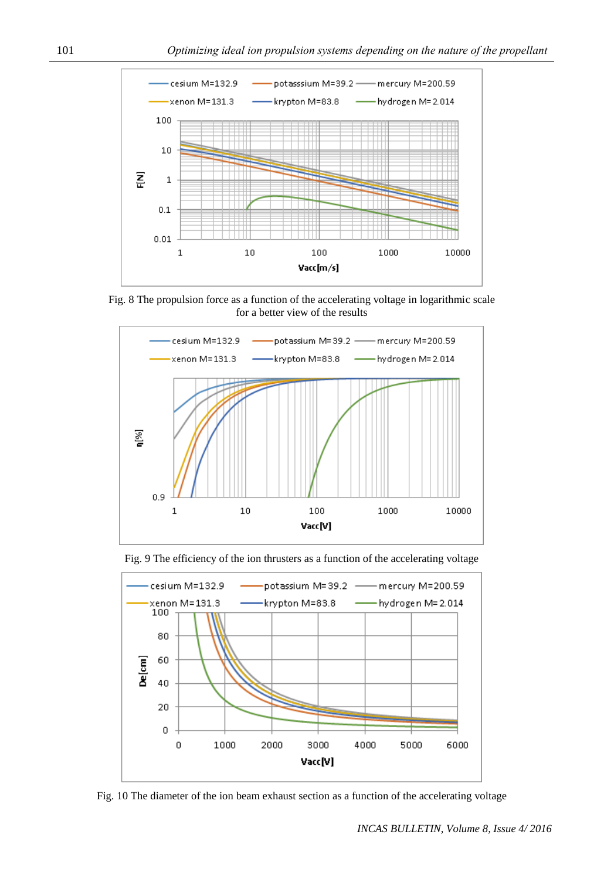

Fig. 8 The propulsion force as a function of the accelerating voltage in logarithmic scale for a better view of the results







Fig. 10 The diameter of the ion beam exhaust section as a function of the accelerating voltage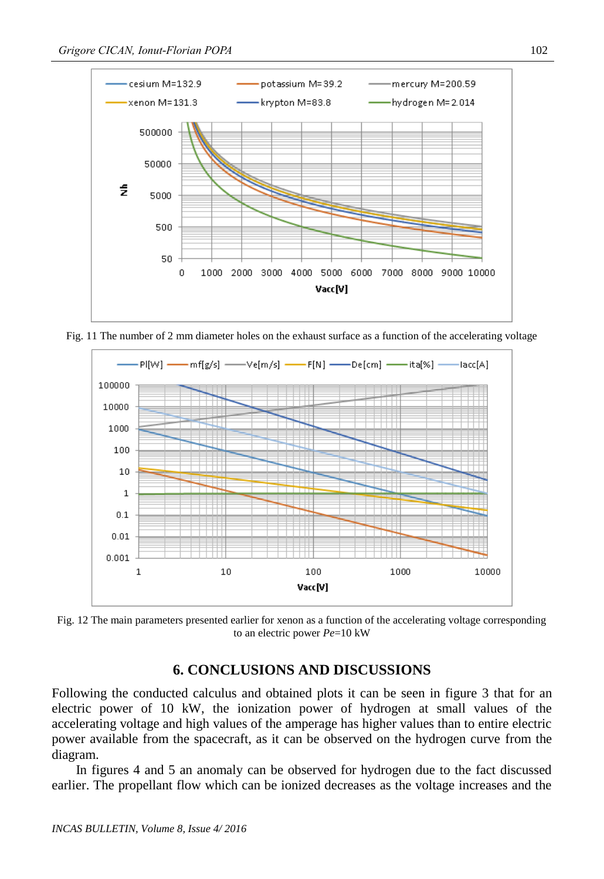

Fig. 11 The number of 2 mm diameter holes on the exhaust surface as a function of the accelerating voltage



Fig. 12 The main parameters presented earlier for xenon as a function of the accelerating voltage corresponding to an electric power *Pe*=10 kW

## **6. CONCLUSIONS AND DISCUSSIONS**

Following the conducted calculus and obtained plots it can be seen in figure 3 that for an electric power of 10 kW, the ionization power of hydrogen at small values of the accelerating voltage and high values of the amperage has higher values than to entire electric power available from the spacecraft, as it can be observed on the hydrogen curve from the diagram.

In figures 4 and 5 an anomaly can be observed for hydrogen due to the fact discussed earlier. The propellant flow which can be ionized decreases as the voltage increases and the